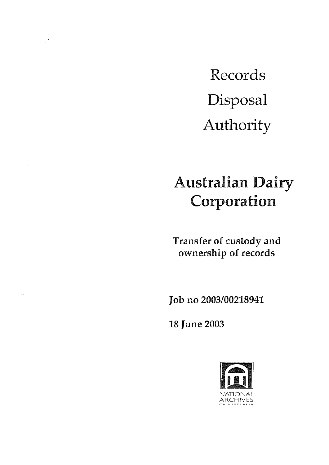Records Disposal Authority

# Australian Dairy Corporation

Transfer of custody and ownership of records

Job no *2003/00218941* 

18 June 2003

 $\frac{1}{2}$ 

 $\begin{pmatrix} 1 \\ 1 \\ 1 \end{pmatrix}$ 

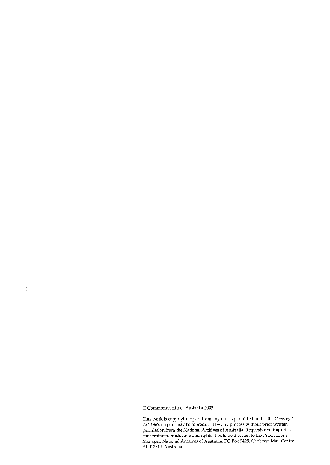© Commonwealth of Australia 2003

 $\frac{1}{2}$ 

 $\frac{1}{2}$ 

This work is copyright. Apart from any use as permitted under the *Copyright Act* 1968,no part may be reproduced by any process without prior written permission from the National Archives of Australia. Requests and inquiries concerning reproduction and rights should be directed to the Publications Manager, National Archives of Australia, PO Box 7425, Canberra Mail Centre ACT 2610, Australia.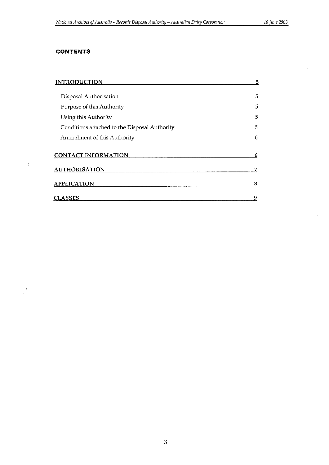$\hat{\mathcal{A}}$ 

### **CONTENTS**

 $\mathbb{R}^d$  )

 $\frac{1}{2}$ 

| <b>INTRODUCTION</b>                           | 5 |  |
|-----------------------------------------------|---|--|
|                                               |   |  |
| Disposal Authorisation                        | 5 |  |
| Purpose of this Authority                     | 5 |  |
| Using this Authority                          | 5 |  |
| Conditions attached to the Disposal Authority | 5 |  |
| Amendment of this Authority                   | 6 |  |
|                                               |   |  |
| <b>CONTACT INFORMATION</b>                    | 6 |  |
| <b>AUTHORISATION</b>                          | 7 |  |
| <b>APPLICATION</b>                            | 8 |  |
| <b>CLASSES</b>                                | 9 |  |

 $\hat{\boldsymbol{\theta}}$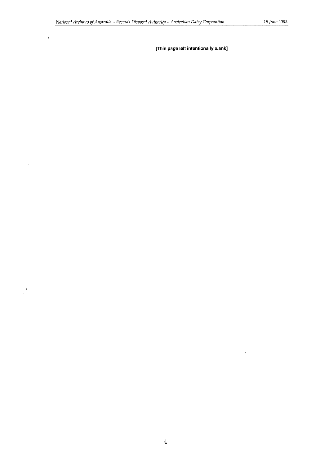$\hat{\lambda}$ 

[This page left intentionally blank]

 $\frac{1}{\sqrt{2}}$ 

 $\begin{pmatrix} 1 \\ 0 \\ 0 \end{pmatrix}$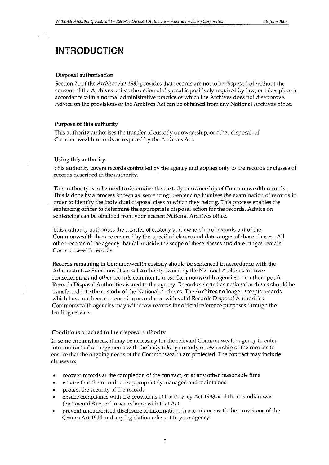### **INTRODUCTION**

#### **Disposal authorisation**

Section 24 of the *Archives Act* 1983 provides that records are not to be disposed of without the consent of the Archives unless the action of disposal is positively required by law, or takes place in **accordance with a normal administrative practice of which the Archives does not disapprove.**  Advice on the provisions of the Archives Act can be obtained from any National Archives office.

#### Purpose of this authority

This authority authorises the transfer of custody or ownership, or other disposal, of Commonwealth records as required by the Archives Act.

#### Using this authority

This authority covers records controlled by the agency and applies only to the records or classes of records described in the authority.

This authority is to be used to determine the custody or ownership of Commonwealth records. This is done by a process known as 'sentencing'. Sentencing involves the examination of records in order to identify the individual disposal class to which they belong. This process enables the sentencing officer to determine the appropriate disposal action for the records. Advice on sentencing can be obtained from your nearest National Archives office.

This authority authorises the transfer of custody and ownership of records out of the Commonwealth that are covered by the specified classes and date ranges of those classes. All other records of the agency that fall outside the scope of these classes and date ranges remain Commonwealth records.

Records remaining in Commonwealth custody should be sentenced in accordance with the Administrative Functions Disposal Authority issued by the National Archives to cover housekeeping and other records common to most Commonwealth agencies and other specific Records Disposal Authorities issued to the agency. Records selected as national archives should be transferred into the custody of the National Archives, The Archives no longer accepts records which have not been sentenced in accordance with valid Records Disposal Authorities. Commonwealth agencies may withdraw records for official reference purposes through the **lending service.** 

#### Conditions attached to the disposal authority

In some circumstances, it may be necessary for the relevant Commonwealth agency to enter into contractual arrangements with the body taking custody or ownership of the records to ensure that the ongoing needs of the Commonwealth are protected. The contract may include clauses to:

- recover records at the completion of the contract, or at any other reasonable time
- ensure that the records are appropriately managed and maintained
- protect the security of the records
- ensure compliance with the provisions of the Privacy Act 1988 as if the custodian was the 'Record Keeper' in accordance with that Act
- **• prevent unauthorised disclosure of information, in accordance with the provisions of the**  Crimes Act 1914 and any legislation relevant to your agency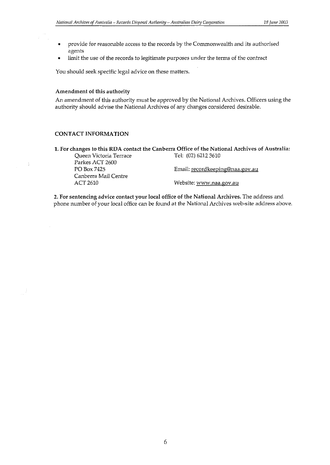- provide for reasonable access to the records by the Commonwealth and its authorised agents
- limit the use of the records to legitimate purposes under the terms of the contract

You should seek specific legal advice on these matters.

#### Amendment of this authority

An amendment of this authority must be approved by the National Archives. Officers using the authority should advise the National Archives of any changes considered desirable.

#### CONTACT INFORMATION

 $\frac{1}{\sqrt{2}}$ 

#### 1. For changes to this RDA contact the Canberra Office of the National Archives of Australia: Queen Victoria Terrace Tel: (02) 6212 3610

Parkes ACT 2600 Canberra Mail Centre

PO Box 7425 **Email:** recordkeeping@naa.gov.au

ACT 2610 Website: www.naa.gov.au

2. For sentencing advice contact your local office of the National Archives. The address and phone number of your local office can be found at the National Archives web-site address above.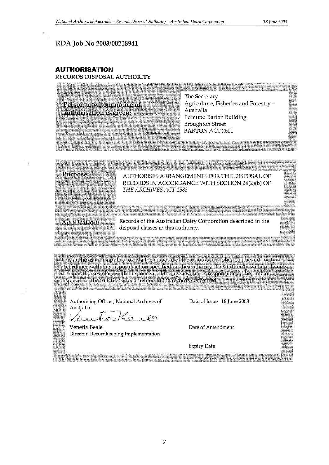### RDAJob No 2003/00218941

### **AUTHORISATION**

RECORDS DISPOSAL AUTHORITY

Person to whom notice of authorisation is given:

The Secretary Agriculture, Fisheries and Forestry-Australia **Edmund Barton Building Broughton Street BARTON ACT 2601** 

**All Castle** 

augusta 16

| <b>Purpose</b> | AUTHORISES ARRANGEMENTS FOR THE DISPOSAL OF                  |  |
|----------------|--------------------------------------------------------------|--|
|                | RECORDS IN ACCORDANCE WITH SECTION 24(2)(b) OF               |  |
|                | THE ARCHIVES ACT 1983                                        |  |
|                |                                                              |  |
|                |                                                              |  |
|                | Records of the Australian Dairy Corporation described in the |  |
| Appheitons     | disposal classes in this authority.                          |  |
|                |                                                              |  |

This authorisation applies to only the disposal of the records described on the authority in accordance with the disposal action specified on the authority. The authority will apply only if disposal takes place with the consent of the agency that is responsible at the time of disposal for the functions documented in the records concerned.

Authorising Officer, National Archives of Australia

houte als Vere

Venetia Beale Director, Recordkeeping Implementation Date of Issue 18 June 2003

Date of Amendment

**Expiry Date**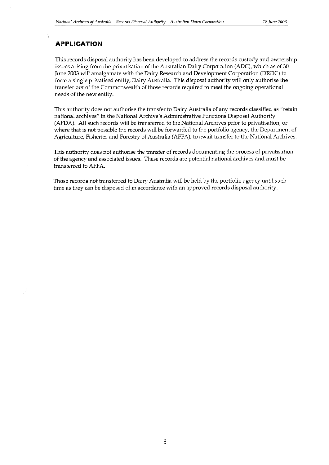### **APPLICATION**

This records disposal authority has been developed to address the records custody and ownership issues arising from the privatisation of the Australian Dairy Corporation (ADC), which as of 30 June 2003 will amalgamate with the Dairy Research and Development Corporation (DRDC) to form a single privatised entity, Dairy Australia. This disposal authority will only authorise the transfer out of the Commonwealth of those records required to meet the ongoing operational needs of the new entity.

This authority does not authorise the transfer to Dairy Australia of any records classified as "retain **national archives" in the National Archive's Administrative Functions Disposal Authority**  (AFDA). All such records will be transferred to the National Archives prior to privatisation, or where that is not possible the records will be forwarded to the portfolio agency, the Department of Agriculture, Fisheries and Forestry of Australia (AFFA), to await transfer to the National Archives.

This authority does not authorise the transfer of records documenting the process of privatisation of the agency and associated issues. These records are potential national archives and must be transferred to AFFA.

Those records not transferred to Dairy Australia will be held by the portfolio agency until such time as they can be disposed of in accordance with an approved records disposal authority.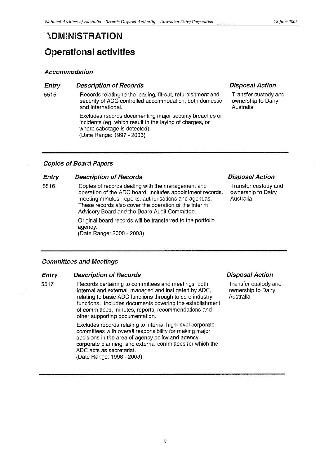### **Operational activities**

### **Accommodation**

#### **Entry Description of Records**

5515 Records relating to the leasing, fit-out, refurbishment and security of ADC controlled accommodation, both domestic and International.

> Excludes records documenting major security breaches or incidents (eg. which result in the laying of charges, or where sabotage is detected). (Date Range: 1997 - 2003)

### **Disposal Action**

Transfer custody and ownership to Dairy Australia

### **Copies of Board Papers**

### **Entry Description of Records**

5516 Copies of records dealing with the management and operation of the ADC board. Includes appointment records, meeting minutes, reports, authorisations and agendas. These records also cover the operation of the Interim Advisory Board and the Board Audit Committee.

> Original board records will be transferred to the portfolio agency. (Date Range: 2000 - 2003)

### **Disposal Action**

Transfer custody and ownership to Dairy Australia

### **Committees and Meetings**

÷

#### **Entry Description of Records**

5517 Records pertaining to committees and meetings, both internal and external, managed and Instigated by ADC, relating to basic ADC functions through to core industry functions. Includes documents covering the establishment of committees, minutes, reports, recommendations and other supporting documentation.

> Excludes records relating to internal high-level corporate committees with overall responsibility for making major decisions in the area of agency policy and agency corporate planning, and external committees for which the ADC acts as secretariat. (Date Range: 1998 - 2003)

### **Disposal Action**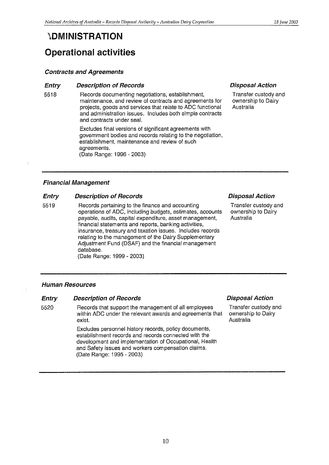## **Operational activities**

### **Contracts and Agreements**

5518

#### **Entry Description of Records**

Records documenting negotiations, establishment, maintenance, and review of contracts and agreements for projects, goods and services that relate to ADC functional and administration issues. Includes both simple contracts and contracts under seal.

> Excludes final versions of significant agreements with government bodies and records relating to the negotiation, establishment, maintenance and review of such agreements. (Date Range: 1996 - 2003)

### **Disposal Action**

Transfer custody and ownership to Dairy Australia

### **Financial Management**

### **Entry Description of Records**

5519 Records pertaining to the finance and accounting operations of ADC, including budgets, estimates, accounts payable, audits, capital expenditure, asset management, financial statements and reports, banking activities, insurance, treasury and taxation issues. Includes records relating to the management of the Dairy Supplementary Adjustment Fund (DSAF) and the financial management database. (Date Range: 1999 - 2003)

### **Disposal Action**

Transfer custody and ownership to Dairy Australia

### **Human Resources**

### **Entry Description of Records**

5520 Records that support the management of all employees within ADC under the relevant awards and agreements that exist.

> Excludes personnel history records, policy documents, establishment records and records connected with the development and implementation of Occupational, Health and Safety issues and workers compensation claims. (Date Range: 1995 - 2003)

### **Disposal Action**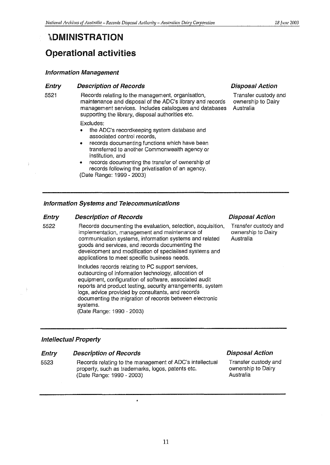### **Operational activities**

### **Information Management**

### **Entry Description of Records**

5521

Records relating to the management, organisation, maintenance and disposal of the ADC's library and records management services. Includes catalogues and databases supporting the library, disposal authorities etc.

Excludes:

- the ADC's recordkeeping system database and associated control records,
- records documenting functions which have been transferred to another Commonwealth agency or institution, and
- records documenting the transfer of ownership of records following the privatisation of an agency. (Date Range: 1999 - 2003)

### **Disposal Action**

Transfer custody and ownership to Dairy Australia

### **Information Systems and Telecommunications**

#### **Entry Description of Records**

5522 Records documenting the evaluation, selection, acquisition, implementation, management and maintenance of communication systems, information systems and related goods and services, and records documenting the development and modification of specialised systems and applications to meet specific business needs.

> Includes records relating to PC support services, outsourcing of information technology, allocation of equipment, configuration of software, associated audit reports and product testing, security arrangements, system logs, advice provided by consultants, and records documenting the migration of records between electronic systems. (Date Range: 1990 - 2003)

#### **Disposal Action**

Transfer custody and ownership to Dairy Australia

### **Intellectual Property**

| Entry | <b>Description of Records</b>                                                                                                              | <b>Disposal Action</b>                                  |
|-------|--------------------------------------------------------------------------------------------------------------------------------------------|---------------------------------------------------------|
| 5523  | Records relating to the management of ADC's intellectual<br>property, such as trademarks, logos, patents etc.<br>(Date Range: 1990 - 2003) | Transfer custody and<br>ownership to Dairy<br>Australia |

 $\cdot$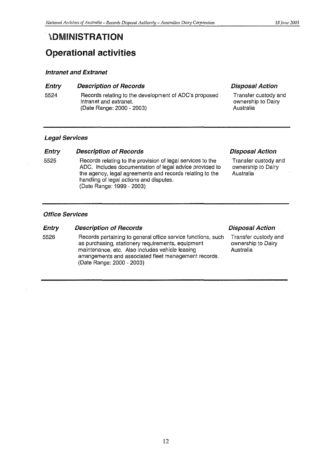### **Operational activities**

### **Intranet and Extranet**

| Entry | <b>Description of Records</b>                                                                                | <b>Disposal Action</b>                                  |
|-------|--------------------------------------------------------------------------------------------------------------|---------------------------------------------------------|
| 5524  | Records relating to the development of ADC's proposed<br>intranet and extranet.<br>(Date Range: 2000 - 2003) | Transfer custody and<br>ownership to Dairy<br>Australia |

### **Legal Services**

| Entry | <b>Description of Records</b> |  |
|-------|-------------------------------|--|
|-------|-------------------------------|--|

5525 Records relating **to** the provision of legal services to the ADC. Includes documentation of legal advice provided to the agency, legal agreements and records relating to the handling of legal actions and disputes. (Date Range: 1999 - 2003)

# **Disposal Action**

Transfer custody and ownership to Dairy Australia

### **Office Services**

**Entry Description of Records Contract Contract Disposal Action Contract Disposal Action** 

5526 Records pertaining to general office service functions, such as purchasing, stationery requirements, equipment maintenance, etc. Also includes vehicle leasing arrangements and associated fleet management records. (Date Range: 2000 - 2003)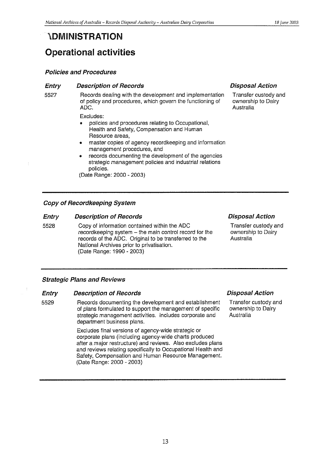### **Operational activities**

### **Policies and Procedures**

### **Entry Description of Records**

5527

Records dealing with the deveiopment and implementation of policy and procedures, which govern the functioning of ADC.

Excludes:

- policies and procedures relating to Occupational, Health and Safety, Compensation and Human Resource areas,
- master copies of agency recordkeeping and information management procedures, and
- records documenting the development of the agencies strategic management policies and industrial relations policies.

(Date Range: 2000 - 2003)

### **Copy of Recordkeeping System**

### **Entry Description of Records Disposal Action**

5528 Copy of information contained within the ADC recordkeeping system - the main control record for the records of the ADC. Original to be transferred to the National Archives prior to privatisation. (Date Range: 1990 - 2003)

### **Disposal Action**

Transfer custody and ownership to Dairy Australia

Transfer custody and ownership to Dairy Australia

### **Strategic Plans and Reviews**

### **Entry Description of Records**

5529 Records documenting the development and establishment of plans formuiated **to** support the management of specific strategic management activities. Includes corporate and department business plans.

> Exciudes finai versions of agency-wide strategic or corporate pians (including agency-wide charts produced after a major restructure) and reviews. Also excludes plans and reviews relating specifically to Occupational Health and Safety, Compensation and Human Resource Management. (Date Range: 2000 - 2003)

### **Disposal Action**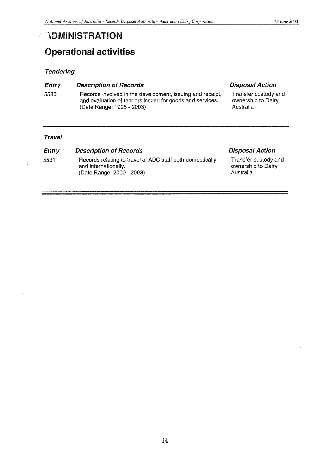$\bar{\mathcal{A}}$ 

### **\DMINISTRATION**

## **Operational activities**

### **Tendering**

 $\hat{f}$ 

| Entry | <b>Description of Records</b>                                                                                                                      | <b>Disposal Action</b>                                  |
|-------|----------------------------------------------------------------------------------------------------------------------------------------------------|---------------------------------------------------------|
| 5530  | Records involved in the development, issuing and receipt,<br>and evaluation of tenders issued for goods and services.<br>(Date Range: 1996 - 2003) | Transfer custody and<br>ownership to Dairy<br>Australia |

### **Travel**

j

 $\bar{1}$ 

| Entry | <b>Description of Records</b>                                                                                  | <b>Disposal Action</b>                                  |
|-------|----------------------------------------------------------------------------------------------------------------|---------------------------------------------------------|
| 5531  | Records relating to travel of ADC staff both domestically<br>and internationally.<br>(Date Range: 2000 - 2003) | Transfer custody and<br>ownership to Dairy<br>Australia |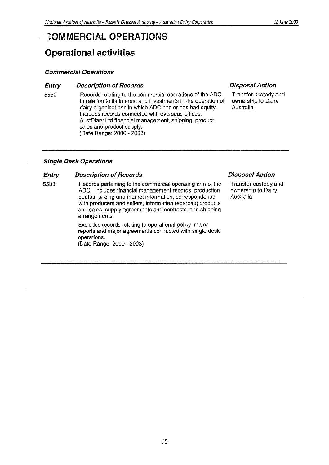## **10MMERCIAlOPERATIONS**

### **Operational activities**

### **Commercial Operations**

### **Entry Description of Records**

5532 Records relating to the commercial operations of the ADC in relation to its interest and investments in the operation of dairy organisations in which ADC has or has had equity. Includes records connected with overseas offices, AustDiary Ltd financial management, shipping, product sales and product supply. (Date Range: 2000 - 2003)

### **Disposal Action**

Transfer custody and ownership to Dairy Australia

### **Single Desk Operations**

#### **Entry Description of Records**

5533 Records pertaining to the commercial operating arm of the ADC. Includes financial management records, production quotas, pricing and market information, correspondence with producers and sellers, information regarding products and sales, supply agreements and contracts, and shipping arrangements.

> Excludes records relating to operational policy, major reports and major agreements connected with single desk operations. (Date Range: 2000 - 2003)

### **Disposal Action**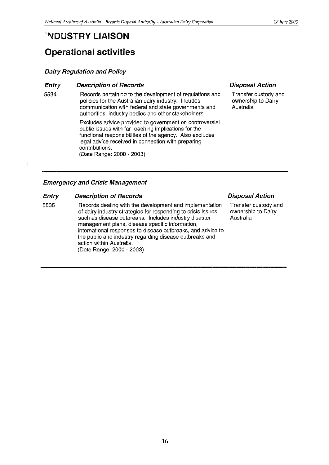### **'NDUSTRY LIAISON**

## **Operational activities**

### **Dairy Regulation and Policy**

### **Entry Description of Records**

5534 Records pertaining to the development of regulations and policies for the Australian dairy industry. Incudes communication with federal and state governments and authorities, industry bodies and other stakeholders.

> Excludes advice provided to government on controversial pubiic issues with far reaching implications for the functional responsibilities of the agency. Also excludes legal advice received in connection with preparing contributions. (Date Range: 2000 - 2003)

### **Disposal Action**

Transfer custody and ownership to Dairy Australia

### **Emergency and Crisis Management**

### **Entry Description of Records**

5535 Records dealing with the development and implementation of dairy industry strategies for responding to crisis issues, such as disease outbreaks. Inciudes industry disaster management plans, disease specific information, international responses to disease outbreaks, and advice to the public and industry regarding disease outbreaks and action within Australia. (Date Range: 2000 - 2003)

### **Disposal Action**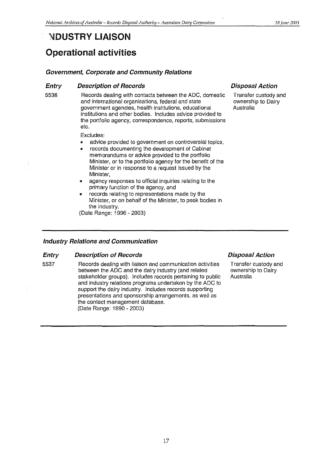### **NDUSTRY LIAISON**

### **Operational activities**

### **Government, Corporate and Community Relations**

### **Entry Description of Records**

5536

Records dealing with contacts between the ADC, domestic and international organisations, federal and state government agencies, health institutions, educational institutions and other bodies. Includes advice provided to the portfolio agency, correspondence, reports, submissions etc.

Exciudes:

- advice provided to government on controversiai topics,
- records documenting the development of Cabinet memorandums or advice provided to the portfolio Minister, or to the portfolio agency for the benefit of the Minister or in response to a request issued by the Minister,
- agency responses to official inquiries relating to the primary function of the agency, and
- records relating to representations made by the Minister, or on behaif of the Minister, to peak bodies in the industry.

(Date Range: 1996 - 2003)

### **Industry Relations and Communication**

### **Entry Description of Records**

5537 Records dealing with liaison and communication activities between the ADC and the dairy industry (and related stakeholder groups). includes records pertaining to public and industry relations programs undertaken by the ADC to support the dairy industry. Includes records supporting presentations and sponsorship arrangements, as weli as the contact management database. (Date Range: 1990 - 2003)

### **Disposal Action**

Transfer custody and ownership to Dairy Australia

### **Disposal Action**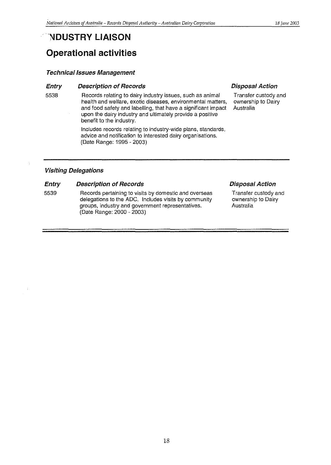### **'NDUSTRY LIAISON**

### **Operational activities**

### Technical Issues **Management**

### **Entry Description of Records**

5538 Records relating to dairy industry issues, such as animal health and welfare, exotic diseases, environmentai matters, and food safety and labeliing, that have a significant impact upon the dairy industry and ultimately provide a positive benefit to the industry.

> Inciudes records relating to industry-wide plans, standards, advice and notification to interested dairy organisations. (Date Range: 1995 - 2003)

### **Disposal Action**

Transfer custody and ownership to Dairy Australia

### **Visiting Delegations**

#### **Entry Description of Records Disposal Action Control Control Control Control Control Disposal Action**

- 
- 5539 Records pertaining to visits by domestic and overseas delegations to the ADC. Includes visits by community groups, industry and government representatives. (Date Range: 2000 - 2003)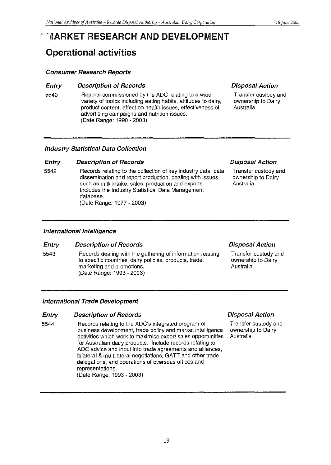## '\ARKET RESEARCH AND DEVELOPMENT

## **Operational activities**

### **Consumer Research Reports**

### **Entry Description of Records**

5540 Reports commissioned by the ADC relating to a wide variety of topics including eating habits, attitudes to dairy, product content, affect on health issues, effectiveness of advertising campaigns and nutrition issues. (Date Range: 1990 - 2003)

### **Disposal Action**

Transfer custody and ownership to Dairy Australia

### **Industry Statistical Data Collection**

### **Entry Description of Records**

5542 Records reiating to the collection of key industry data, data dissemination and report production, dealing with issues such as milk intake, sales, production and exports. Includes the Industry Statistical Data Management database. (Date Range: 1977 - 2003)

### **Disposal Action**

Transfer custody and ownership to Dairy Australia

### International Intelligence

### **Entry Description of Records Disposal Action**

5543 Records dealing with the gathering of information relating to specific countries' dairy policies, products, trade, marketing and promotions. (Date Range: 1993 - 2003)

Transfer custody and ownership to Dairy Australia

### **International Trade Development**

### **Entry Description of Records**

5544 Records relatinq to the ADC's integrated program of business development, trade policy and market intelligence activities which work to maximise export sales opportunities for Australian dairy products. Include records relating to ADC advice and input into trade agreements and alliances, bilateral & multilateral negotiations, GATT and other trade delegations, and operations of overseas offices and representations. (Date Range: 1993 - 2003)

### **Disposal Action**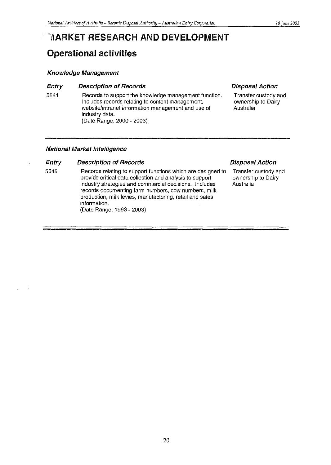## **-nARKET RESEARCH AND DEVELOPMENT**

### **Operational activities**

### **Knowledge Management**

### **Entry Description of Records**

5541 Records to support the knowledge management function. Includes records relating to content management, website/intranet information management and use of industry data. (Date Range: 2000 - 2003)

### **Disposal Action**

Transfer custody and ownership to Dairy Australia

### **National Market Intelligence**

### **Entry Description of Records**

5545 Hecords relating to support functions which are designed to provide critical data collection and analysis to support industry strategies and commercial decisions. Includes records documenting farm numbers, cow numbers, milk production, milk levies, manufacturing, retail and sales information. (Date Range: 1993 - 2003)

### **Disposal Action**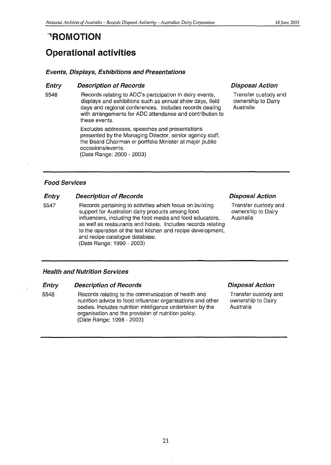### **PROMOTION**

### **Operational activities**

### **Events, Displays, Exhibitions and Presentations**

### **Entry Description of Records**

5546 Records relating to ADC's participation in dairy events, displays and exhibitions such as annual show days, field days and regional conferences. Includes records dealing with arrangements for ADC attendance and contribution to these events.

> Excludes addresses, speeches and presentations presented by the Managing Director, senior agency staff, the Board Chairman or portfolio Minister at major public occasions/events. (Date Range: 2000 - 2003)

### **Disposal Action**

Transfer custody and ownership to Dairy Australia

### **Food Services**

### **Entry Description of Records**

5547 Records pertaining to activities which focus on building support for Australian dairy products among food influencers, including the food media and food educators, as well as restaurants and hotels. Includes records relating to the operation of the test kitchen and recipe development, and recipe catalogue database. (Date Range: 1990 - 2003)

#### **Disposal Action**

Transfer custody and ownership to Dairy Australia

### **Health and Nutrition Services**

**Entry Description of Records**  5548 Records relating to the communication of health and nutrition advice to food influencer organisations and other bodies. Includes nutrition intelligence undertaken by the organisation and the provision of nutrition policy.

(Date Range: 1998 - 2003)

### **Disposal Action**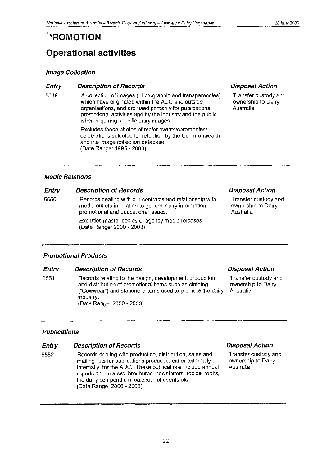## **'ROMOTION**

### **Operational activities**

### **Image Collection**

### **Entry Description of Records**

5549 A collection of images (photographic and transparencies) which have originated within the ADC and outside organisations, and are used primarily for publications, promotional activities and by the industry and the public when requiring specific dairy images

> Excludes those photos of major events/ceremonies/ celebrations selected for retention by the Commonwealth and the image collection database. (Date Range: 1995 - 2003)

### **Disposal Action**

Transfer custody and ownership to Dairy Australia

### **Media Relations**

### **Entry Description of Records Disposal Action**

5550 Records dealing with our contracts and relationship with media outlets in relation to general dairy information, promotional and educational issues.

> Excludes master copies of agency media releases. (Date Range: 2000 - 2003)

Transfer custody and ownership to Dairy Australia

### **Promotional Products**

### **Entry Description of Records Disposal Action**

5551 Records relating to the design, development, production and distribution of promotional items such as clothing ("Cowwear") and stationery items used to promote the dairy industry. (Date Range: 2000 - 2003)

Transfer custody and ownership to Dairy Australia

### **Publications**

### **Entry Description of Records**

5552 Records dealing with production, distribution, sales and mailing lists for publications produced, either externally or internally, for the ADC. These publications include annual reports and reviews, brochures, newsletters, recipe books, the dairy compendium, calendar of events etc (Date Range: 2000 - 2003)

### **Disposal Action**